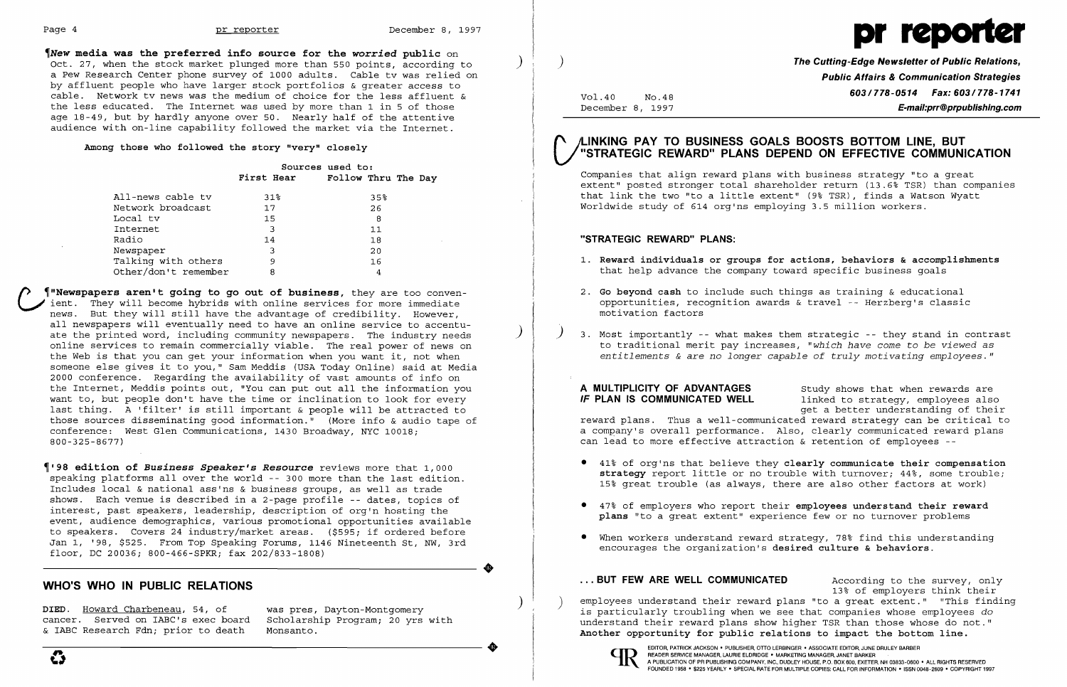

~New **media was the preferred info source for the** *worried* **public** on Oct. 27, when the stock market plunged more than 550 points, according to a Pew Research Center phone survey of 1000 adults. Cable tv was relied on by affluent people who have larger stock portfolios & greater access to cable. Network tv news was the medium of choice for the less affluent & the less educated. The Internet was used by more than 1 in 5 of those age 18-49, but by hardly anyone over 50. Nearly half of the attentive audience with on-line capability followed the market via the Internet.

### **Among those who followed the story "very" closely**

|                      |        | Sources used to:<br>First Hear Follow Thru The Day |
|----------------------|--------|----------------------------------------------------|
| All-news cable tv    | $31\%$ | $35\%$                                             |
| Network broadcast    | 17     | 26                                                 |
| Local tv             | 15     | 8                                                  |
| Internet             | 3      | 11                                                 |
| Radio                | 14     | 18                                                 |
| Newspaper            | 3      | 20                                                 |
| Talking with others  | 9      | 16                                                 |
| Other/don't remember | 8      | 4                                                  |

{) ~"Newspapers **aren't going to go out of business,** they are too convenient. They will become hybrids with online services for more immediate news. But they will still have the advantage of credibility. However, news the case of the state and the accuracy of creativity. However, ate the printed word, including community newspapers. The industry needs online services to remain commercially viable. The real power of news on the Web is that you can get your information when you want it, not when someone else gives it to you," Sam Meddis (USA Today Online) said at Media 2000 conference. Regarding the availability of vast amounts of info on the Internet, Meddis points out, "You can put out all the information you want to, but people don't have the time or inclination to look for every last thing. A 'filter' is still important & people will be attracted to those sources disseminating good information." (More info & audio tape of conference: West Glen Communications, 1430 Broadway, NYC 10018; 800-325-8677)

**A MULTIPLICITY OF ADVANTAGES** Study shows that when rewards are **IF PLAN IS COMMUNICATED WELL** and linked to strategy, employees also linked to strategy, employees also get a better understanding of their reward plans. Thus a well-communicated reward strategy can be critical to a company's overall performance. Also, clearly communicated reward plans can lead to more effective attraction & retention of employees -

~'98 **edition of** *Business Speaker's Resource* reviews more that 1,000 speaking platforms allover the world -- 300 more than the last edition. Includes local & national ass'ns & business groups, as well as trade shows. Each venue is described in a 2-page profile -- dates, topics of interest, past speakers, leadership, description of org'n hosting the event, audience demographics, various promotional opportunities available to speakers. Covers 24 industry/market areas. (\$595; if ordered before Jan 1, '98, \$525. From Top Speaking Forums, 1146 Nineteenth St, NW, 3rd floor, DC 20036; 800-466-SPKR; fax 202/833-1808)

## **WHO'S WHO IN PUBLIC RELATIONS**

 $\bullet$ 

)

 $\left( \right)$ 

)

Vol.40 No.48 December 8, 1997 **The Cutting-Edge Newsletter of Public Relations, Public Affairs & Communication Strategies 603/778-0514 Fax: 603/778-1741 E-mail:prr@prpublishing.com** 

## **(' A-INKING PAY TO BUSINESS GOALS BOOSTS BOTTOM LINE, BUT V "STRATEGIC REWARD" PLANS DEPEND ON EFFECTIVE COMMUNICATION**

Companies that align reward plans with business strategy "to a great extent" posted stronger total shareholder return (13.6% TSR) than companies that link the two "to a little extent" (9% TSR), finds a Watson Wyatt Worldwide study of 614 org'ns employing 3.5 million workers.

### **"STRATEGIC REWARD" PLANS:**

- 1. **Reward individuals or groups for actions, behaviors & accomplishments**  that help advance the company toward specific business goals
- 2. **Go beyond cash** to include such things as training & educational opportunities, recognition awards & travel -- Herzberg's classic motivation factors
- ) 3. Most importantly -- what makes them strategic -- they stand in contrast

to traditional merit pay increases, *"which have come* to *be viewed as entitlements* & are *no longer capable of truly motivating employees."* 

**strategy** report little or no trouble with turnover; 44%, some trouble;

- • 41% of org'ns that believe they **clearly communicate their compensation**  15% great trouble (as always, there are also other factors at work)
- • 47% of employers who report their **employees understand their reward plans** "to a great extent" experience few or no turnover problems
- • When workers understand reward strategy, 78% find this understanding encourages the organization's **desired culture & behaviors.**

### ... BUT FEW ARE WELL COMMUNICATED **According to the survey**, only

DIED. <u>Howard Charbeneau</u>, 54, of was pres, Dayton-Montgomery **inter the supployees understand their** reward plans "to a great extent." "This finding DIED. <u>Howard Charbeneau</u>, 54, of was pres, Dayton-Montgomery is particu cancer. Served on IABC's exec board – Scholarship Program; 20 yrs with the stand their reward plans show higher TSR than those whose do not."<br>& IABC Research Fdn; prior to death – Monsanto. Another opportunity for public relations to impact the bottom line.



13% of employers think their